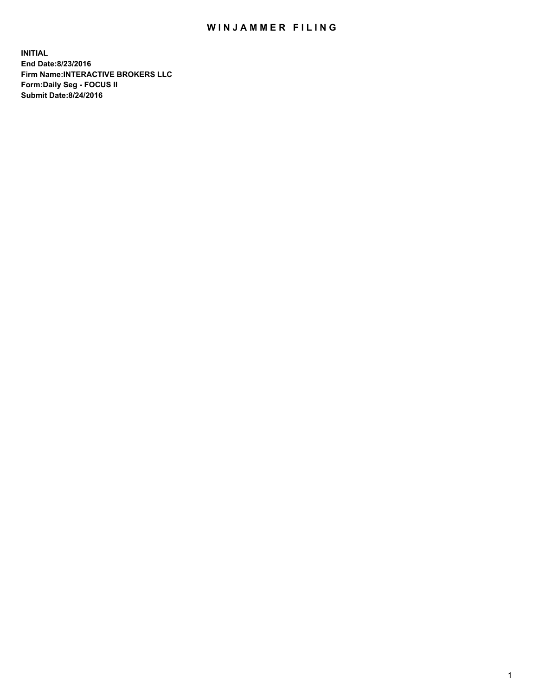## WIN JAMMER FILING

**INITIAL End Date:8/23/2016 Firm Name:INTERACTIVE BROKERS LLC Form:Daily Seg - FOCUS II Submit Date:8/24/2016**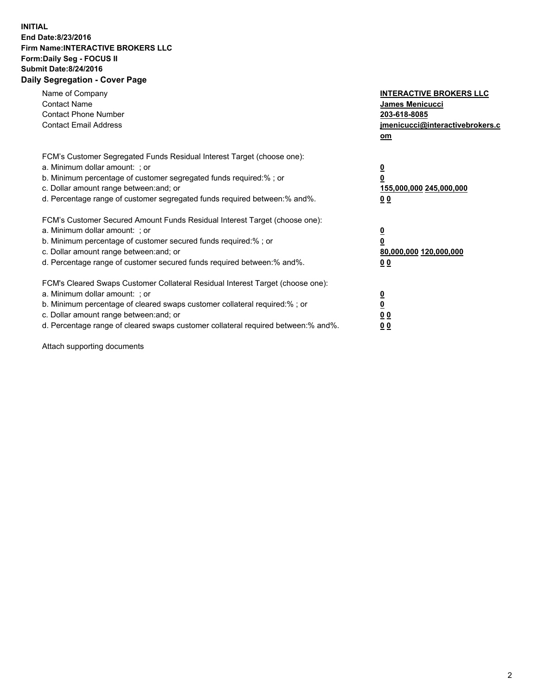## **INITIAL End Date:8/23/2016 Firm Name:INTERACTIVE BROKERS LLC Form:Daily Seg - FOCUS II Submit Date:8/24/2016 Daily Segregation - Cover Page**

| Name of Company<br><b>Contact Name</b><br><b>Contact Phone Number</b><br><b>Contact Email Address</b>                                                                                                                                                                                                                          | <b>INTERACTIVE BROKERS LLC</b><br>James Menicucci<br>203-618-8085<br>jmenicucci@interactivebrokers.c<br>om |
|--------------------------------------------------------------------------------------------------------------------------------------------------------------------------------------------------------------------------------------------------------------------------------------------------------------------------------|------------------------------------------------------------------------------------------------------------|
| FCM's Customer Segregated Funds Residual Interest Target (choose one):<br>a. Minimum dollar amount: ; or<br>b. Minimum percentage of customer segregated funds required:%; or<br>c. Dollar amount range between: and; or<br>d. Percentage range of customer segregated funds required between:% and%.                          | $\overline{\mathbf{0}}$<br>0<br>155,000,000 245,000,000<br>0 <sub>0</sub>                                  |
| FCM's Customer Secured Amount Funds Residual Interest Target (choose one):<br>a. Minimum dollar amount: ; or<br>b. Minimum percentage of customer secured funds required:%; or<br>c. Dollar amount range between: and; or<br>d. Percentage range of customer secured funds required between:% and%.                            | $\overline{\mathbf{0}}$<br>$\overline{\mathbf{0}}$<br>80,000,000 120,000,000<br>00                         |
| FCM's Cleared Swaps Customer Collateral Residual Interest Target (choose one):<br>a. Minimum dollar amount: ; or<br>b. Minimum percentage of cleared swaps customer collateral required:% ; or<br>c. Dollar amount range between: and; or<br>d. Percentage range of cleared swaps customer collateral required between:% and%. | $\overline{\mathbf{0}}$<br>$\overline{\mathbf{0}}$<br>0 <sub>0</sub><br><u>00</u>                          |

Attach supporting documents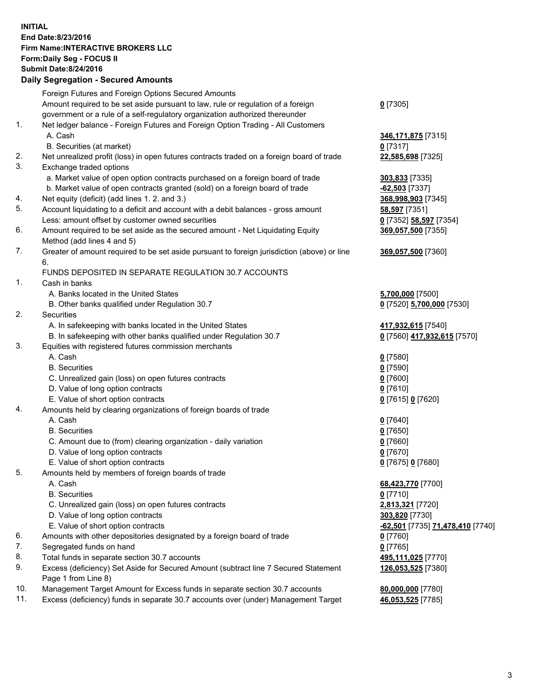## **INITIAL End Date:8/23/2016 Firm Name:INTERACTIVE BROKERS LLC Form:Daily Seg - FOCUS II Submit Date:8/24/2016 Daily Segregation - Secured Amounts**

|     | Daily Ocglegation - Occuled Amounts                                                                        |                                  |
|-----|------------------------------------------------------------------------------------------------------------|----------------------------------|
|     | Foreign Futures and Foreign Options Secured Amounts                                                        |                                  |
|     | Amount required to be set aside pursuant to law, rule or regulation of a foreign                           | $0$ [7305]                       |
|     | government or a rule of a self-regulatory organization authorized thereunder                               |                                  |
| 1.  | Net ledger balance - Foreign Futures and Foreign Option Trading - All Customers                            |                                  |
|     | A. Cash                                                                                                    | 346, 171, 875 [7315]             |
|     | B. Securities (at market)                                                                                  | $0$ [7317]                       |
| 2.  | Net unrealized profit (loss) in open futures contracts traded on a foreign board of trade                  | 22,585,698 [7325]                |
| 3.  | Exchange traded options                                                                                    |                                  |
|     | a. Market value of open option contracts purchased on a foreign board of trade                             | <b>303,833</b> [7335]            |
|     | b. Market value of open contracts granted (sold) on a foreign board of trade                               | $-62,503$ [7337]                 |
| 4.  | Net equity (deficit) (add lines 1. 2. and 3.)                                                              | 368,998,903 [7345]               |
| 5.  | Account liquidating to a deficit and account with a debit balances - gross amount                          | 58,597 [7351]                    |
|     | Less: amount offset by customer owned securities                                                           | 0 [7352] 58,597 [7354]           |
| 6.  | Amount required to be set aside as the secured amount - Net Liquidating Equity                             | 369,057,500 [7355]               |
|     | Method (add lines 4 and 5)                                                                                 |                                  |
| 7.  | Greater of amount required to be set aside pursuant to foreign jurisdiction (above) or line                | 369,057,500 [7360]               |
|     | 6.                                                                                                         |                                  |
|     | FUNDS DEPOSITED IN SEPARATE REGULATION 30.7 ACCOUNTS                                                       |                                  |
| 1.  | Cash in banks                                                                                              |                                  |
|     | A. Banks located in the United States                                                                      | 5,700,000 [7500]                 |
|     | B. Other banks qualified under Regulation 30.7                                                             | 0 [7520] 5,700,000 [7530]        |
| 2.  | Securities                                                                                                 |                                  |
|     | A. In safekeeping with banks located in the United States                                                  | 417,932,615 [7540]               |
|     | B. In safekeeping with other banks qualified under Regulation 30.7                                         | 0 [7560] 417,932,615 [7570]      |
| 3.  | Equities with registered futures commission merchants                                                      |                                  |
|     | A. Cash                                                                                                    | $0$ [7580]                       |
|     | <b>B.</b> Securities                                                                                       | $0$ [7590]                       |
|     | C. Unrealized gain (loss) on open futures contracts                                                        | $0$ [7600]                       |
|     | D. Value of long option contracts                                                                          | $0$ [7610]                       |
|     | E. Value of short option contracts                                                                         | 0 [7615] 0 [7620]                |
| 4.  | Amounts held by clearing organizations of foreign boards of trade                                          |                                  |
|     | A. Cash                                                                                                    | $0$ [7640]                       |
|     | <b>B.</b> Securities                                                                                       | $0$ [7650]                       |
|     | C. Amount due to (from) clearing organization - daily variation                                            | $0$ [7660]                       |
|     | D. Value of long option contracts                                                                          | $0$ [7670]                       |
|     | E. Value of short option contracts                                                                         | 0 [7675] 0 [7680]                |
| 5.  | Amounts held by members of foreign boards of trade                                                         |                                  |
|     | A. Cash                                                                                                    | 68,423,770 [7700]                |
|     | <b>B.</b> Securities                                                                                       | $0$ [7710]                       |
|     | C. Unrealized gain (loss) on open futures contracts                                                        | 2,813,321 [7720]                 |
|     | D. Value of long option contracts                                                                          | 303,820 [7730]                   |
|     | E. Value of short option contracts                                                                         | -62,501 [7735] 71,478,410 [7740] |
| 6.  | Amounts with other depositories designated by a foreign board of trade                                     | 0 [7760]                         |
| 7.  | Segregated funds on hand                                                                                   | $0$ [7765]                       |
| 8.  | Total funds in separate section 30.7 accounts                                                              | 495,111,025 [7770]               |
| 9.  | Excess (deficiency) Set Aside for Secured Amount (subtract line 7 Secured Statement<br>Page 1 from Line 8) | 126,053,525 [7380]               |
| 10. | Management Target Amount for Excess funds in separate section 30.7 accounts                                | 80,000,000 [7780]                |
| 11. | Excess (deficiency) funds in separate 30.7 accounts over (under) Management Target                         | 46,053,525 [7785]                |
|     |                                                                                                            |                                  |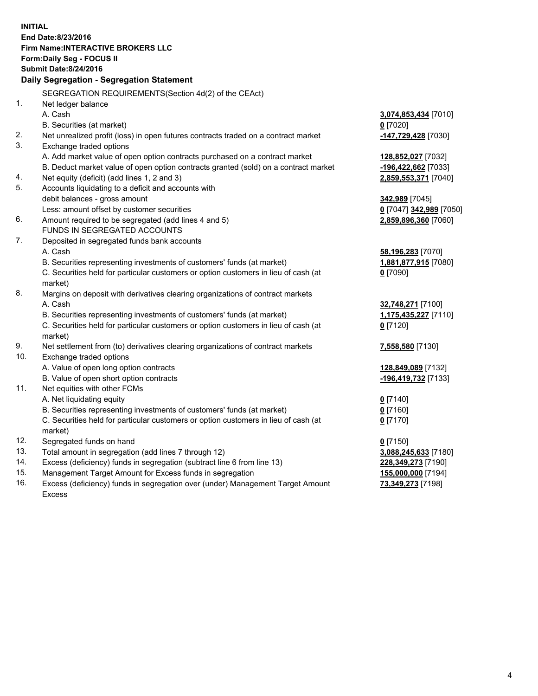**INITIAL End Date:8/23/2016 Firm Name:INTERACTIVE BROKERS LLC Form:Daily Seg - FOCUS II Submit Date:8/24/2016 Daily Segregation - Segregation Statement** SEGREGATION REQUIREMENTS(Section 4d(2) of the CEAct) 1. Net ledger balance A. Cash **3,074,853,434** [7010] B. Securities (at market) **0** [7020] 2. Net unrealized profit (loss) in open futures contracts traded on a contract market **-147,729,428** [7030] 3. Exchange traded options A. Add market value of open option contracts purchased on a contract market **128,852,027** [7032] B. Deduct market value of open option contracts granted (sold) on a contract market **-196,422,662** [7033] 4. Net equity (deficit) (add lines 1, 2 and 3) **2,859,553,371** [7040] 5. Accounts liquidating to a deficit and accounts with debit balances - gross amount **342,989** [7045] Less: amount offset by customer securities **0** [7047] **342,989** [7050] 6. Amount required to be segregated (add lines 4 and 5) **2,859,896,360** [7060] FUNDS IN SEGREGATED ACCOUNTS 7. Deposited in segregated funds bank accounts A. Cash **58,196,283** [7070] B. Securities representing investments of customers' funds (at market) **1,881,877,915** [7080] C. Securities held for particular customers or option customers in lieu of cash (at market) **0** [7090] 8. Margins on deposit with derivatives clearing organizations of contract markets A. Cash **32,748,271** [7100] B. Securities representing investments of customers' funds (at market) **1,175,435,227** [7110] C. Securities held for particular customers or option customers in lieu of cash (at market) **0** [7120] 9. Net settlement from (to) derivatives clearing organizations of contract markets **7,558,580** [7130] 10. Exchange traded options A. Value of open long option contracts **128,849,089** [7132] B. Value of open short option contracts **-196,419,732** [7133] 11. Net equities with other FCMs A. Net liquidating equity **0** [7140] B. Securities representing investments of customers' funds (at market) **0** [7160] C. Securities held for particular customers or option customers in lieu of cash (at market) **0** [7170] 12. Segregated funds on hand **0** [7150] 13. Total amount in segregation (add lines 7 through 12) **3,088,245,633** [7180] 14. Excess (deficiency) funds in segregation (subtract line 6 from line 13) **228,349,273** [7190] 15. Management Target Amount for Excess funds in segregation **155,000,000** [7194] **73,349,273** [7198]

16. Excess (deficiency) funds in segregation over (under) Management Target Amount Excess